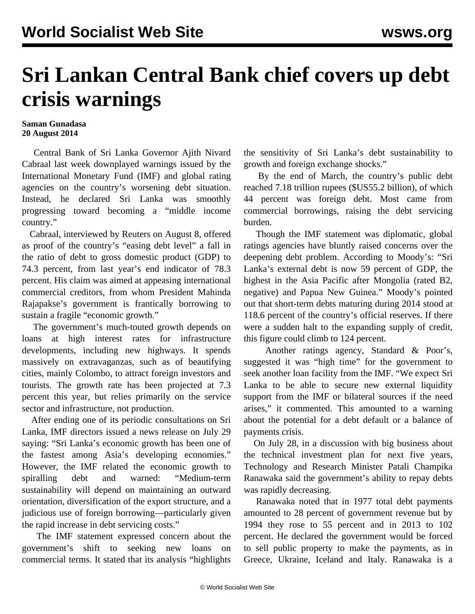## **Sri Lankan Central Bank chief covers up debt crisis warnings**

## **Saman Gunadasa 20 August 2014**

 Central Bank of Sri Lanka Governor Ajith Nivard Cabraal last week downplayed warnings issued by the International Monetary Fund (IMF) and global rating agencies on the country's worsening debt situation. Instead, he declared Sri Lanka was smoothly progressing toward becoming a "middle income country."

 Cabraal, interviewed by Reuters on August 8, offered as proof of the country's "easing debt level" a fall in the ratio of debt to gross domestic product (GDP) to 74.3 percent, from last year's end indicator of 78.3 percent. His claim was aimed at appeasing international commercial creditors, from whom President Mahinda Rajapakse's government is frantically borrowing to sustain a fragile "economic growth."

 The government's much-touted growth depends on loans at high interest rates for infrastructure developments, including new highways. It spends massively on extravaganzas, such as of beautifying cities, mainly Colombo, to attract foreign investors and tourists. The growth rate has been projected at 7.3 percent this year, but relies primarily on the service sector and infrastructure, not production.

 After ending one of its periodic consultations on Sri Lanka, IMF directors issued a news release on July 29 saying: "Sri Lanka's economic growth has been one of the fastest among Asia's developing economies." However, the IMF related the economic growth to spiralling debt and warned: "Medium-term sustainability will depend on maintaining an outward orientation, diversification of the export structure, and a judicious use of foreign borrowing—particularly given the rapid increase in debt servicing costs."

 The IMF statement expressed concern about the government's shift to seeking new loans on commercial terms. It stated that its analysis "highlights the sensitivity of Sri Lanka's debt sustainability to growth and foreign exchange shocks."

 By the end of March, the country's public debt reached 7.18 trillion rupees (\$US55.2 billion), of which 44 percent was foreign debt. Most came from commercial borrowings, raising the debt servicing burden.

 Though the IMF statement was diplomatic, global ratings agencies have bluntly raised concerns over the deepening debt problem. According to Moody's: "Sri Lanka's external debt is now 59 percent of GDP, the highest in the Asia Pacific after Mongolia (rated B2, negative) and Papua New Guinea." Moody's pointed out that short-term debts maturing during 2014 stood at 118.6 percent of the country's official reserves. If there were a sudden halt to the expanding supply of credit, this figure could climb to 124 percent.

 Another ratings agency, Standard & Poor's, suggested it was "high time" for the government to seek another loan facility from the IMF. "We expect Sri Lanka to be able to secure new external liquidity support from the IMF or bilateral sources if the need arises," it commented. This amounted to a warning about the potential for a debt default or a balance of payments crisis.

 On July 28, in a discussion with big business about the technical investment plan for next five years, Technology and Research Minister Patali Champika Ranawaka said the government's ability to repay debts was rapidly decreasing.

 Ranawaka noted that in 1977 total debt payments amounted to 28 percent of government revenue but by 1994 they rose to 55 percent and in 2013 to 102 percent. He declared the government would be forced to sell public property to make the payments, as in Greece, Ukraine, Iceland and Italy. Ranawaka is a